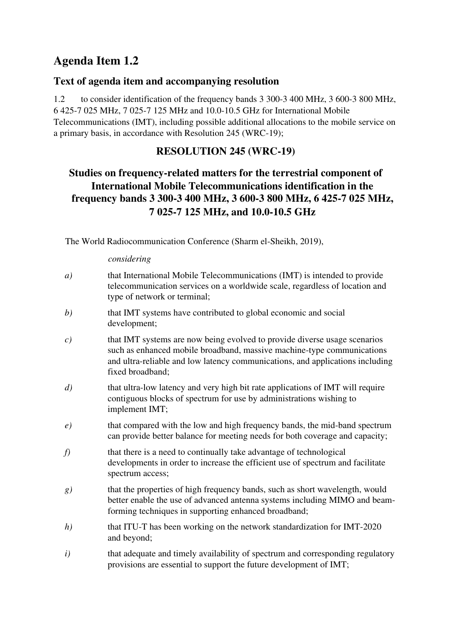# **Agenda Item 1.2**

### **Text of agenda item and accompanying resolution**

1.2 to consider identification of the frequency bands 3 300-3 400 MHz, 3 600-3 800 MHz, 6 425-7 025 MHz, 7 025-7 125 MHz and 10.0-10.5 GHz for International Mobile Telecommunications (IMT), including possible additional allocations to the mobile service on a primary basis, in accordance with Resolution 245 (WRC-19);

## **RESOLUTION 245 (WRC-19)**

# **Studies on frequency-related matters for the terrestrial component of International Mobile Telecommunications identification in the frequency bands 3 300-3 400 MHz, 3 600-3 800 MHz, 6 425-7 025 MHz, 7 025-7 125 MHz, and 10.0-10.5 GHz**

The World Radiocommunication Conference (Sharm el-Sheikh, 2019),

#### *considering*

- *a)* that International Mobile Telecommunications (IMT) is intended to provide telecommunication services on a worldwide scale, regardless of location and type of network or terminal;
- *b)* that IMT systems have contributed to global economic and social development;
- *c)* that IMT systems are now being evolved to provide diverse usage scenarios such as enhanced mobile broadband, massive machine-type communications and ultra-reliable and low latency communications, and applications including fixed broadband;
- *d)* that ultra-low latency and very high bit rate applications of IMT will require contiguous blocks of spectrum for use by administrations wishing to implement IMT;
- *e)* that compared with the low and high frequency bands, the mid-band spectrum can provide better balance for meeting needs for both coverage and capacity;
- *f*) that there is a need to continually take advantage of technological developments in order to increase the efficient use of spectrum and facilitate spectrum access;
- *g)* that the properties of high frequency bands, such as short wavelength, would better enable the use of advanced antenna systems including MIMO and beamforming techniques in supporting enhanced broadband;
- *h)* that ITU-T has been working on the network standardization for IMT-2020 and beyond;
- *i*) that adequate and timely availability of spectrum and corresponding regulatory provisions are essential to support the future development of IMT;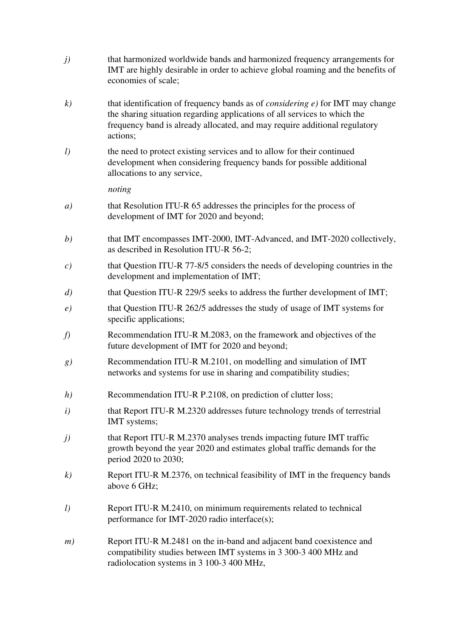- *j)* that harmonized worldwide bands and harmonized frequency arrangements for IMT are highly desirable in order to achieve global roaming and the benefits of economies of scale;
- *k)* that identification of frequency bands as of *considering e)* for IMT may change the sharing situation regarding applications of all services to which the frequency band is already allocated, and may require additional regulatory actions;
- *l*) the need to protect existing services and to allow for their continued development when considering frequency bands for possible additional allocations to any service,

*noting* 

- *a)* that Resolution ITU-R 65 addresses the principles for the process of development of IMT for 2020 and beyond;
- *b)* that IMT encompasses IMT-2000, IMT-Advanced, and IMT-2020 collectively, as described in Resolution ITU-R 56-2;
- *c)* that Question ITU-R 77-8/5 considers the needs of developing countries in the development and implementation of IMT;
- *d)* that Question ITU-R 229/5 seeks to address the further development of IMT;
- *e)* that Question ITU-R 262/5 addresses the study of usage of IMT systems for specific applications;
- *f)* Recommendation ITU-R M.2083, on the framework and objectives of the future development of IMT for 2020 and beyond;
- *g)* Recommendation ITU-R M.2101, on modelling and simulation of IMT networks and systems for use in sharing and compatibility studies;
- *h*) Recommendation ITU-R P.2108, on prediction of clutter loss:
- *i*) that Report ITU-R M.2320 addresses future technology trends of terrestrial IMT systems;
- *j)* that Report ITU-R M.2370 analyses trends impacting future IMT traffic growth beyond the year 2020 and estimates global traffic demands for the period 2020 to 2030;
- *k)* Report ITU-R M.2376, on technical feasibility of IMT in the frequency bands above 6 GHz;
- *l)* Report ITU-R M.2410, on minimum requirements related to technical performance for IMT-2020 radio interface(s);
- *m*) Report ITU-R M.2481 on the in-band and adjacent band coexistence and compatibility studies between IMT systems in 3 300-3 400 MHz and radiolocation systems in 3 100-3 400 MHz,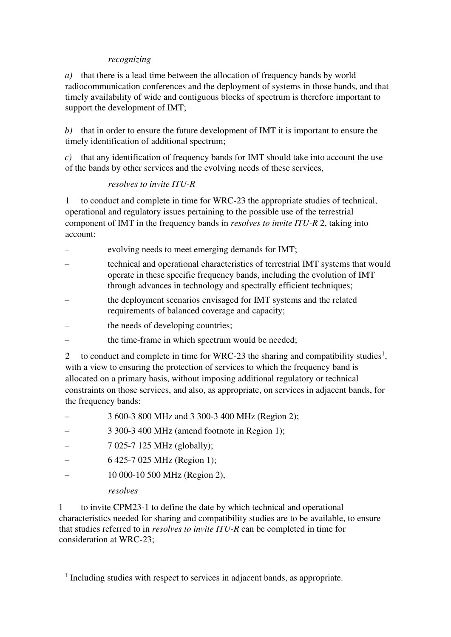#### *recognizing*

*a)* that there is a lead time between the allocation of frequency bands by world radiocommunication conferences and the deployment of systems in those bands, and that timely availability of wide and contiguous blocks of spectrum is therefore important to support the development of IMT;

*b)* that in order to ensure the future development of IMT it is important to ensure the timely identification of additional spectrum;

*c)* that any identification of frequency bands for IMT should take into account the use of the bands by other services and the evolving needs of these services,

### *resolves to invite ITU-R*

1 to conduct and complete in time for WRC-23 the appropriate studies of technical, operational and regulatory issues pertaining to the possible use of the terrestrial component of IMT in the frequency bands in *resolves to invite ITU-R* 2, taking into account:

- evolving needs to meet emerging demands for IMT;
- technical and operational characteristics of terrestrial IMT systems that would operate in these specific frequency bands, including the evolution of IMT through advances in technology and spectrally efficient techniques;
- the deployment scenarios envisaged for IMT systems and the related requirements of balanced coverage and capacity;
- the needs of developing countries;
- the time-frame in which spectrum would be needed;

2 to conduct and complete in time for WRC-23 the sharing and compatibility studies<sup>1</sup>, with a view to ensuring the protection of services to which the frequency band is allocated on a primary basis, without imposing additional regulatory or technical constraints on those services, and also, as appropriate, on services in adjacent bands, for the frequency bands:

- 3 600-3 800 MHz and 3 300-3 400 MHz (Region 2);
- 3 300-3 400 MHz (amend footnote in Region 1);
- 7 025-7 125 MHz (globally);
- 6 425-7 025 MHz (Region 1);
- 10 000-10 500 MHz (Region 2),

### *resolves*

1 to invite CPM23-1 to define the date by which technical and operational characteristics needed for sharing and compatibility studies are to be available, to ensure that studies referred to in *resolves to invite ITU-R* can be completed in time for consideration at WRC-23;

<sup>&</sup>lt;sup>1</sup> Including studies with respect to services in adjacent bands, as appropriate.